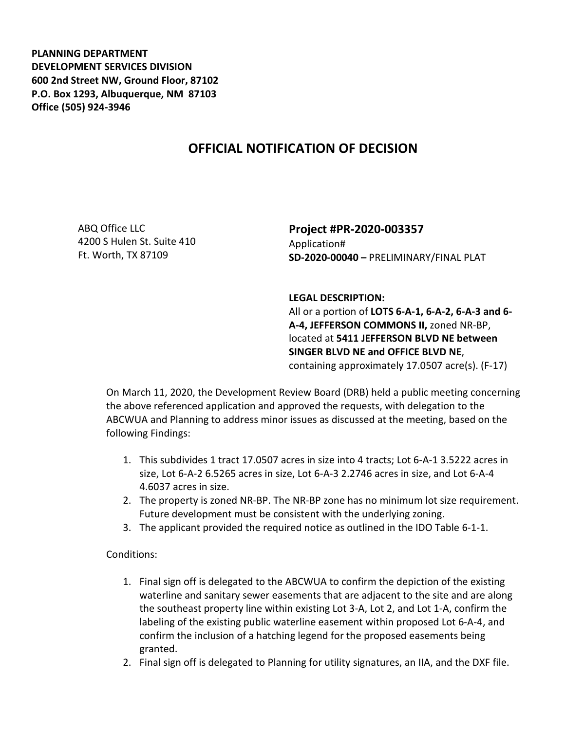**PLANNING DEPARTMENT DEVELOPMENT SERVICES DIVISION 600 2nd Street NW, Ground Floor, 87102 P.O. Box 1293, Albuquerque, NM 87103 Office (505) 924-3946** 

## **OFFICIAL NOTIFICATION OF DECISION**

ABQ Office LLC 4200 S Hulen St. Suite 410 Ft. Worth, TX 87109

## **Project #PR-2020-003357**  Application# **SD-2020-00040 –** PRELIMINARY/FINAL PLAT

## **LEGAL DESCRIPTION:**

All or a portion of **LOTS 6-A-1, 6-A-2, 6-A-3 and 6- A-4, JEFFERSON COMMONS II,** zoned NR-BP, located at **5411 JEFFERSON BLVD NE between SINGER BLVD NE and OFFICE BLVD NE**, containing approximately 17.0507 acre(s). (F-17)

On March 11, 2020, the Development Review Board (DRB) held a public meeting concerning the above referenced application and approved the requests, with delegation to the ABCWUA and Planning to address minor issues as discussed at the meeting, based on the following Findings:

- 1. This subdivides 1 tract 17.0507 acres in size into 4 tracts; Lot 6-A-1 3.5222 acres in size, Lot 6-A-2 6.5265 acres in size, Lot 6-A-3 2.2746 acres in size, and Lot 6-A-4 4.6037 acres in size.
- 2. The property is zoned NR-BP. The NR-BP zone has no minimum lot size requirement. Future development must be consistent with the underlying zoning.
- 3. The applicant provided the required notice as outlined in the IDO Table 6-1-1.

Conditions:

- 1. Final sign off is delegated to the ABCWUA to confirm the depiction of the existing waterline and sanitary sewer easements that are adjacent to the site and are along the southeast property line within existing Lot 3-A, Lot 2, and Lot 1-A, confirm the labeling of the existing public waterline easement within proposed Lot 6-A-4, and confirm the inclusion of a hatching legend for the proposed easements being granted.
- 2. Final sign off is delegated to Planning for utility signatures, an IIA, and the DXF file.